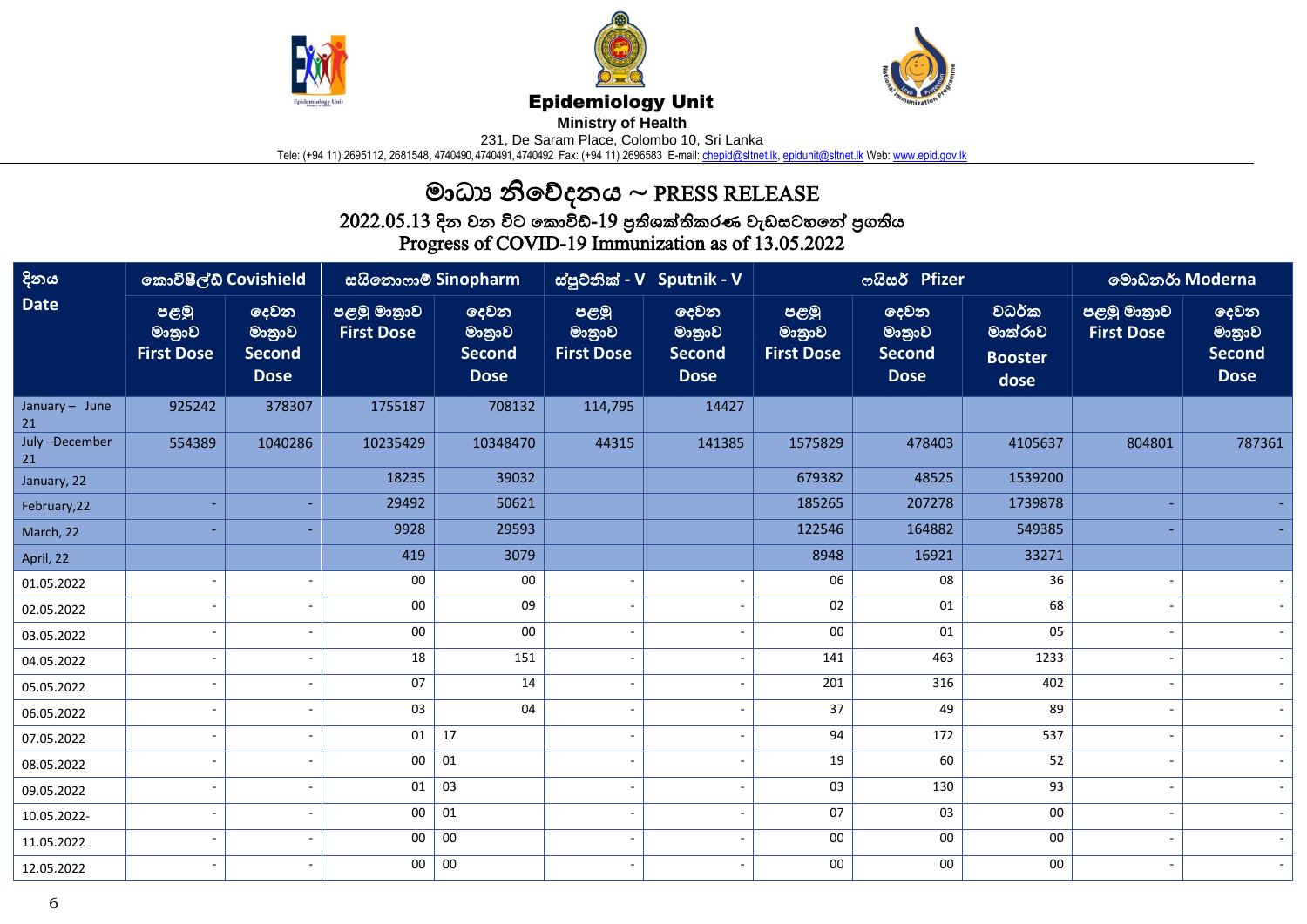





## Epidemiology Unit

**Ministry of Health** 

231, De Saram Place, Colombo 10, Sri Lanka

Tele: (+94 11) 2695112, 2681548, 4740490,4740491,4740492 Fax: (+94 11) 2696583 E-mail: <u>chepid@sltnet.lk, [epidunit@sltnet.lk](mailto:epidunit@sltnet.lk)</u> Web: <u>www.epid.gov.lk</u>

## මාධ්ය නිවේදනය ~ PRESS RELEASE

 $2022.05.13$  දින වන විට කොවිඩ්- $19$  පුතිශක්තිකරණ වැඩසටහනේ පුගතිය

Progress of COVID-19 Immunization as of 13.05.2022

| දිනය                 | කොවිෂීල්ඩ් Covishield               |                                                | සයිනොෆාම් Sinopharm              |                                                       | ස්පුටනික් - V Sputnik - V           |                                                |                                     | ოයිසර් Pfizer                                  | මොඩනර් Moderna                             |                                  |                                                |
|----------------------|-------------------------------------|------------------------------------------------|----------------------------------|-------------------------------------------------------|-------------------------------------|------------------------------------------------|-------------------------------------|------------------------------------------------|--------------------------------------------|----------------------------------|------------------------------------------------|
| <b>Date</b>          | පළමු<br>මානුාව<br><b>First Dose</b> | දෙවන<br>මානුාව<br><b>Second</b><br><b>Dose</b> | පළමු මාතුාව<br><b>First Dose</b> | <b>ලදවන</b><br>මාතුාව<br><b>Second</b><br><b>Dose</b> | පළමු<br>මාතුාව<br><b>First Dose</b> | දෙවන<br>මානුාව<br><b>Second</b><br><b>Dose</b> | පළමු<br>මාතුාව<br><b>First Dose</b> | දෙවන<br>මානුාව<br><b>Second</b><br><b>Dose</b> | වධර්ක<br>මාත්රාව<br><b>Booster</b><br>dose | පළමු මාතුාව<br><b>First Dose</b> | දෙවන<br>මාතුාව<br><b>Second</b><br><b>Dose</b> |
| January - June<br>21 | 925242                              | 378307                                         | 1755187                          | 708132                                                | 114,795                             | 14427                                          |                                     |                                                |                                            |                                  |                                                |
| July-December<br>21  | 554389                              | 1040286                                        | 10235429                         | 10348470                                              | 44315                               | 141385                                         | 1575829                             | 478403                                         | 4105637                                    | 804801                           | 787361                                         |
| January, 22          |                                     |                                                | 18235                            | 39032                                                 |                                     |                                                | 679382                              | 48525                                          | 1539200                                    |                                  |                                                |
| February, 22         |                                     |                                                | 29492                            | 50621                                                 |                                     |                                                | 185265                              | 207278                                         | 1739878                                    |                                  |                                                |
| March, 22            |                                     |                                                | 9928                             | 29593                                                 |                                     |                                                | 122546                              | 164882                                         | 549385                                     |                                  |                                                |
| April, 22            |                                     |                                                | 419                              | 3079                                                  |                                     |                                                | 8948                                | 16921                                          | 33271                                      |                                  |                                                |
| 01.05.2022           |                                     |                                                | 00                               | 00                                                    |                                     |                                                | 06                                  | 08                                             | 36                                         |                                  |                                                |
| 02.05.2022           |                                     |                                                | 00                               | 09                                                    |                                     |                                                | 02                                  | 01                                             | 68                                         |                                  |                                                |
| 03.05.2022           |                                     |                                                | $00\,$                           | ${\bf 00}$                                            |                                     |                                                | $00\,$                              | 01                                             | 05                                         |                                  |                                                |
| 04.05.2022           |                                     |                                                | 18                               | 151                                                   |                                     |                                                | 141                                 | 463                                            | 1233                                       |                                  |                                                |
| 05.05.2022           |                                     |                                                | 07                               | 14                                                    |                                     |                                                | 201                                 | 316                                            | 402                                        |                                  |                                                |
| 06.05.2022           |                                     |                                                | 03                               | 04                                                    |                                     |                                                | 37                                  | 49                                             | 89                                         |                                  |                                                |
| 07.05.2022           |                                     |                                                | 01                               | 17                                                    |                                     |                                                | 94                                  | 172                                            | 537                                        |                                  |                                                |
| 08.05.2022           |                                     |                                                | 00                               | 01                                                    |                                     |                                                | 19                                  | 60                                             | 52                                         |                                  |                                                |
| 09.05.2022           |                                     |                                                | 01                               | 03                                                    |                                     |                                                | 03                                  | 130                                            | 93                                         |                                  |                                                |
| 10.05.2022-          |                                     |                                                | 00                               | 01                                                    |                                     |                                                | 07                                  | 03                                             | $00\,$                                     |                                  |                                                |
| 11.05.2022           |                                     |                                                | $00\,$                           | 00                                                    |                                     |                                                | $00\,$                              | 00                                             | 00                                         |                                  |                                                |
| 12.05.2022           |                                     |                                                | 00                               | 00                                                    |                                     |                                                | $00\,$                              | 00                                             | 00                                         |                                  |                                                |